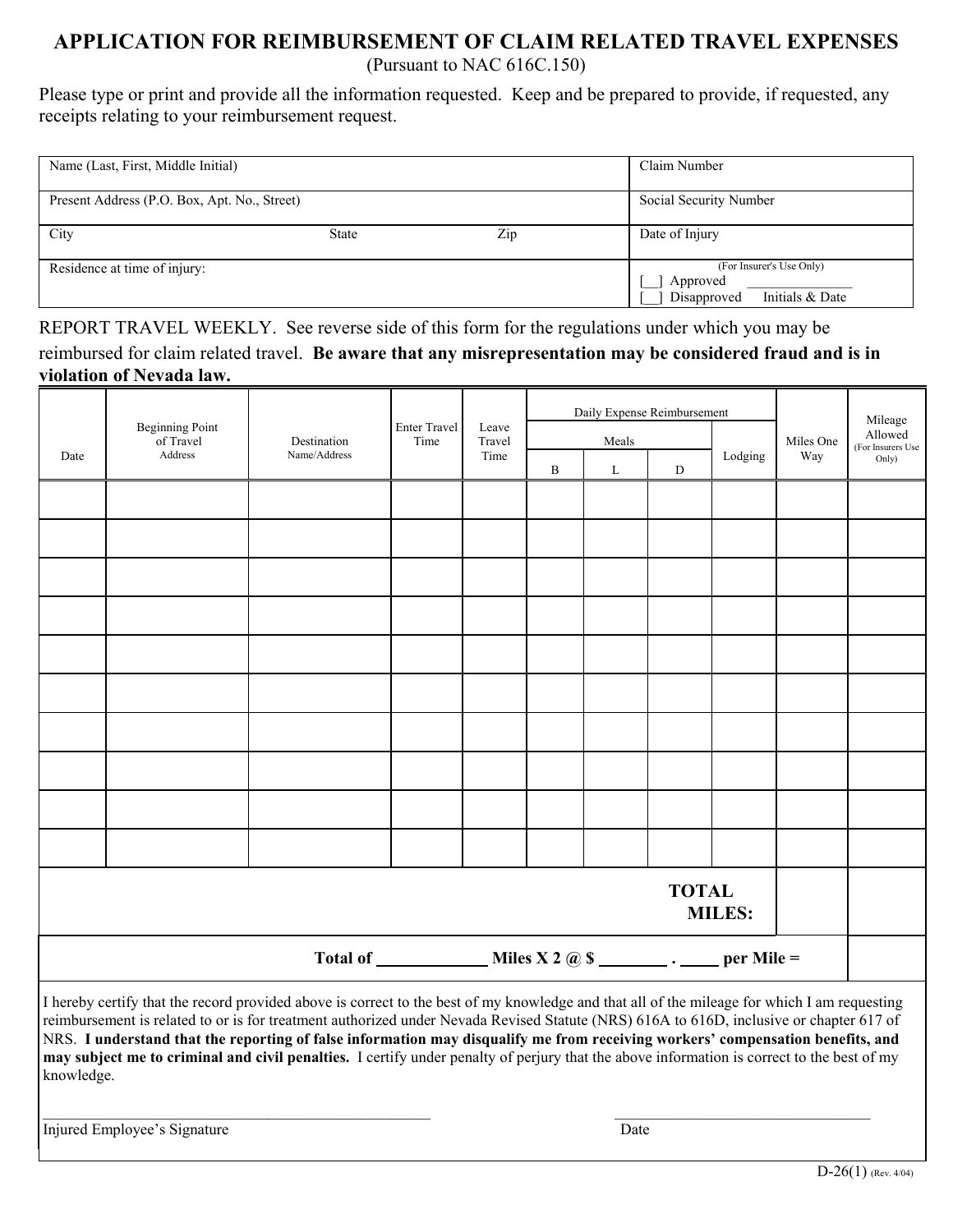# **APPLICATION FOR REIMBURSEMENT OF CLAIM RELATED TRAVEL EXPENSES**

(Pursuant to NAC 616C.150)

Please type or print and provide all the information requested. Keep and be prepared to provide, if requested, any receipts relating to your reimbursement request.

| Name (Last, First, Middle Initial)           | Claim Number           |                                                                        |                |  |  |
|----------------------------------------------|------------------------|------------------------------------------------------------------------|----------------|--|--|
| Present Address (P.O. Box, Apt. No., Street) | Social Security Number |                                                                        |                |  |  |
| City                                         | <b>State</b>           | Zip                                                                    | Date of Injury |  |  |
| Residence at time of injury:                 |                        | (For Insurer's Use Only)<br>Approved<br>Initials & Date<br>Disapproved |                |  |  |

REPORT TRAVEL WEEKLY. See reverse side of this form for the regulations under which you may be reimbursed for claim related travel. **Be aware that any misrepresentation may be considered fraud and is in violation of Nevada law.** 

|                               | <b>Beginning Point</b><br>of Travel<br>Address                                                                                               | Destination<br>Name/Address | <b>Enter Travel</b><br>Time | Leave<br>Travel<br>Time | Daily Expense Reimbursement |          |           |         | Miles One | Mileage<br>Allowed<br>(For Insurers Use |  |  |
|-------------------------------|----------------------------------------------------------------------------------------------------------------------------------------------|-----------------------------|-----------------------------|-------------------------|-----------------------------|----------|-----------|---------|-----------|-----------------------------------------|--|--|
| Date                          |                                                                                                                                              |                             |                             |                         | Meals                       |          |           |         |           |                                         |  |  |
|                               |                                                                                                                                              |                             |                             |                         | $\, {\bf B}$                | $\Gamma$ | ${\rm D}$ | Lodging | Way       | Only)                                   |  |  |
|                               |                                                                                                                                              |                             |                             |                         |                             |          |           |         |           |                                         |  |  |
|                               |                                                                                                                                              |                             |                             |                         |                             |          |           |         |           |                                         |  |  |
|                               |                                                                                                                                              |                             |                             |                         |                             |          |           |         |           |                                         |  |  |
|                               |                                                                                                                                              |                             |                             |                         |                             |          |           |         |           |                                         |  |  |
|                               |                                                                                                                                              |                             |                             |                         |                             |          |           |         |           |                                         |  |  |
|                               |                                                                                                                                              |                             |                             |                         |                             |          |           |         |           |                                         |  |  |
|                               |                                                                                                                                              |                             |                             |                         |                             |          |           |         |           |                                         |  |  |
|                               |                                                                                                                                              |                             |                             |                         |                             |          |           |         |           |                                         |  |  |
|                               |                                                                                                                                              |                             |                             |                         |                             |          |           |         |           |                                         |  |  |
|                               |                                                                                                                                              |                             |                             |                         |                             |          |           |         |           |                                         |  |  |
| <b>TOTAL</b><br><b>MILES:</b> |                                                                                                                                              |                             |                             |                         |                             |          |           |         |           |                                         |  |  |
|                               |                                                                                                                                              |                             |                             |                         |                             |          |           |         |           |                                         |  |  |
|                               | I hereby certify that the record provided above is correct to the best of my knowledge and that all of the mileage for which I am requesting |                             |                             |                         |                             |          |           |         |           |                                         |  |  |

reimbursement is related to or is for treatment authorized under Nevada Revised Statute (NRS) 616A to 616D, inclusive or chapter 617 of NRS. **I understand that the reporting of false information may disqualify me from receiving workers' compensation benefits, and may subject me to criminal and civil penalties.** I certify under penalty of perjury that the above information is correct to the best of my knowledge.

 $\_$  , and the state of the state of the state of the state of the state of the state of the state of the state of the state of the state of the state of the state of the state of the state of the state of the state of the

Injured Employee's SignatureDate